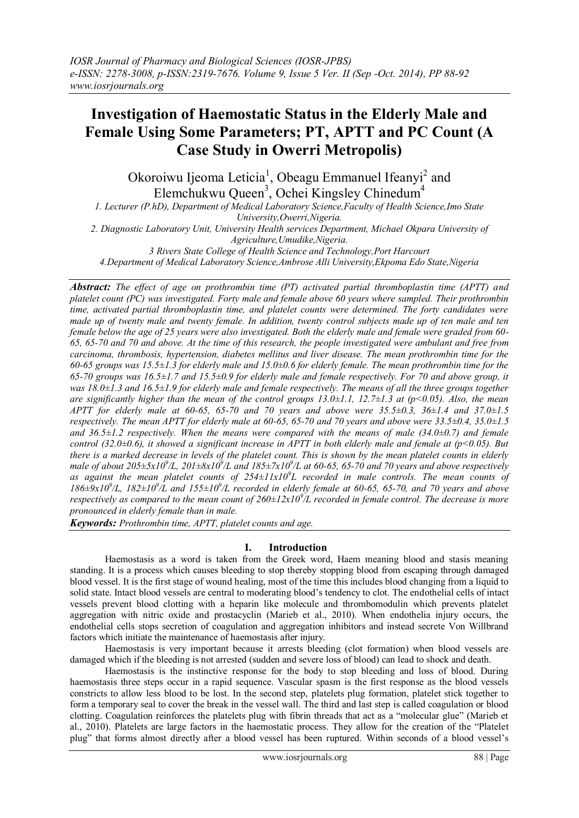# **Investigation of Haemostatic Status in the Elderly Male and Female Using Some Parameters; PT, APTT and PC Count (A Case Study in Owerri Metropolis)**

Okoroiwu Ijeoma Leticia<sup>1</sup>, Obeagu Emmanuel Ifeanyi<sup>2</sup> and Elemchukwu Queen<sup>3</sup>, Ochei Kingsley Chinedum<sup>4</sup>

*1. Lecturer (P.hD), Department of Medical Laboratory Science,Faculty of Health Science,Imo State University,Owerri,Nigeria.*

*2. Diagnostic Laboratory Unit, University Health services Department, Michael Okpara University of Agriculture,Umudike,Nigeria.*

*3 Rivers State College of Health Science and Technology,Port Harcourt*

*4.Department of Medical Laboratory Science,Ambrose Alli University,Ekpoma Edo State,Nigeria*

*Abstract: The effect of age on prothrombin time (PT) activated partial thromboplastin time (APTT) and platelet count (PC) was investigated. Forty male and female above 60 years where sampled. Their prothrombin time, activated partial thromboplastin time, and platelet counts were determined. The forty candidates were made up of twenty male and twenty female. In addition, twenty control subjects made up of ten male and ten female below the age of 25 years were also investigated. Both the elderly male and female were graded from 60- 65, 65-70 and 70 and above. At the time of this research, the people investigated were ambulant and free from carcinoma, thrombosis, hypertension, diabetes mellitus and liver disease. The mean prothrombin time for the 60-65 groups was 15.5±1.3 for elderly male and 15.0±0.6 for elderly female. The mean prothrombin time for the 65-70 groups was 16.5±1.7 and 15.5±0.9 for elderly male and female respectively. For 70 and above group, it was 18.0*±1.3 and 16.5±1.9 for elderly male and female respectively. The means of all the three groups together *are significantly higher than the mean of the control groups 13.0±1.1, 12.7±1.3 at (p<0.05). Also, the mean APTT for elderly male at 60-65, 65-70 and 70 years and above were 35.5±0.3, 36±1.4 and 37.0±1.5 respectively. The mean APTT for elderly male at 60-65, 65-70 and 70 years and above were 33.5±0.4, 35.0±1.5 and 36.5±1.2 respectively. When the means were compared with the means of male (34.0±0.7) and female control (32.0±0.6), it showed a significant increase in APTT in both elderly male and female at (p<0.05). But there is a marked decrease in levels of the platelet count. This is shown by the mean platelet counts in elderly male of about 205* $\pm$ *5x10<sup>9</sup>/L, 201* $\pm$ *8x10<sup>9</sup>/L and 185* $\pm$ *7x10<sup>9</sup>/L at 60-65, 65-70 and 70 years and above respectively as against the mean platelet counts of 254±11x10<sup>9</sup> L recorded in male controls. The mean counts of*   $186 \pm 9x10^9$ /L,  $182 \pm 10^9$ /L and  $155 \pm 10^9$ /L recorded in elderly female at 60-65, 65-70, and 70 years and above *respectively as compared to the mean count of 260±12x10<sup>9</sup> /L recorded in female control. The decrease is more pronounced in elderly female than in male.*

*Keywords: Prothrombin time, APTT, platelet counts and age.*

# **I. Introduction**

Haemostasis as a word is taken from the Greek word, Haem meaning blood and stasis meaning standing. It is a process which causes bleeding to stop thereby stopping blood from escaping through damaged blood vessel. It is the first stage of wound healing, most of the time this includes blood changing from a liquid to solid state. Intact blood vessels are central to moderating blood"s tendency to clot. The endothelial cells of intact vessels prevent blood clotting with a heparin like molecule and thrombomodulin which prevents platelet aggregation with nitric oxide and prostacyclin (Marieb et al., 2010). When endothelia injury occurs, the endothelial cells stops secretion of coagulation and aggregation inhibitors and instead secrete Von Willbrand factors which initiate the maintenance of haemostasis after injury.

Haemostasis is very important because it arrests bleeding (clot formation) when blood vessels are damaged which if the bleeding is not arrested (sudden and severe loss of blood) can lead to shock and death.

Haemostasis is the instinctive response for the body to stop bleeding and loss of blood. During haemostasis three steps occur in a rapid sequence. Vascular spasm is the first response as the blood vessels constricts to allow less blood to be lost. In the second step, platelets plug formation, platelet stick together to form a temporary seal to cover the break in the vessel wall. The third and last step is called coagulation or blood clotting. Coagulation reinforces the platelets plug with fibrin threads that act as a "molecular glue" (Marieb et al., 2010). Platelets are large factors in the haemostatic process. They allow for the creation of the "Platelet plug" that forms almost directly after a blood vessel has been ruptured. Within seconds of a blood vessel"s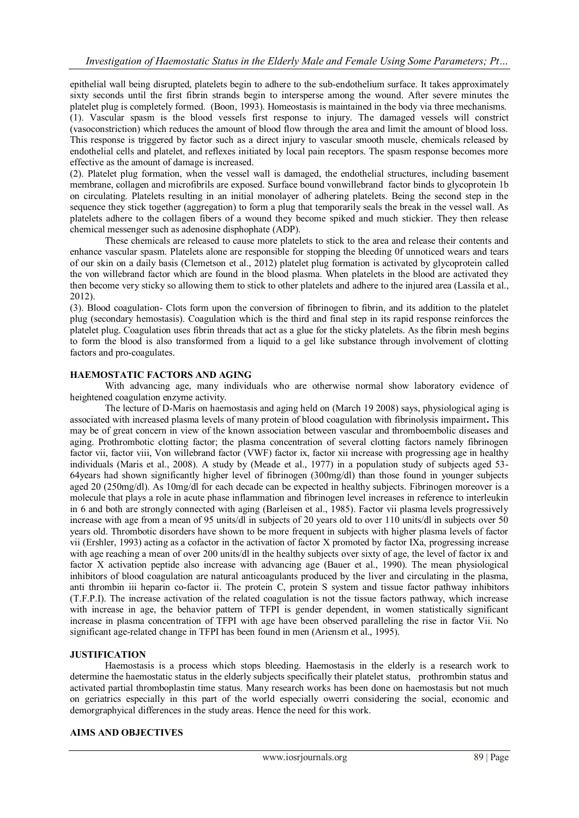epithelial wall being disrupted, platelets begin to adhere to the sub-endothelium surface. It takes approximately sixty seconds until the first fibrin strands begin to intersperse among the wound. After severe minutes the platelet plug is completely formed. (Boon, 1993). Homeostasis is maintained in the body via three mechanisms. (1). Vascular spasm is the blood vessels first response to injury. The damaged vessels will constrict (vasoconstriction) which reduces the amount of blood flow through the area and limit the amount of blood loss. This response is triggered by factor such as a direct injury to vascular smooth muscle, chemicals released by endothelial cells and platelet, and reflexes initiated by local pain receptors. The spasm response becomes more effective as the amount of damage is increased.

(2). Platelet plug formation, when the vessel wall is damaged, the endothelial structures, including basement membrane, collagen and microfibrils are exposed. Surface bound vonwillebrand factor binds to glycoprotein 1b on circulating. Platelets resulting in an initial monolayer of adhering platelets. Being the second step in the sequence they stick together (aggregation) to form a plug that temporarily seals the break in the vessel wall. As platelets adhere to the collagen fibers of a wound they become spiked and much stickier. They then release chemical messenger such as adenosine disphophate (ADP).

These chemicals are released to cause more platelets to stick to the area and release their contents and enhance vascular spasm. Platelets alone are responsible for stopping the bleeding 0f unnoticed wears and tears of our skin on a daily basis (Clemetson et al., 2012) platelet plug formation is activated by glycoprotein called the von willebrand factor which are found in the blood plasma. When platelets in the blood are activated they then become very sticky so allowing them to stick to other platelets and adhere to the injured area (Lassila et al., 2012).

(3). Blood coagulation- Clots form upon the conversion of fibrinogen to fibrin, and its addition to the platelet plug (secondary hemostasis). Coagulation which is the third and final step in its rapid response reinforces the platelet plug. Coagulation uses fibrin threads that act as a glue for the sticky platelets. As the fibrin mesh begins to form the blood is also transformed from a liquid to a gel like substance through involvement of clotting factors and pro-coagulates.

# **HAEMOSTATIC FACTORS AND AGING**

With advancing age, many individuals who are otherwise normal show laboratory evidence of heightened coagulation enzyme activity.

The lecture of D-Maris on haemostasis and aging held on (March 19 2008) says, physiological aging is associated with increased plasma levels of many protein of blood coagulation with fibrinolysis impairment**.** This may be of great concern in view of the known association between vascular and thromboembolic diseases and aging. Prothrombotic clotting factor; the plasma concentration of several clotting factors namely fibrinogen factor vii, factor viii, Von willebrand factor (VWF) factor ix, factor xii increase with progressing age in healthy individuals (Maris et al., 2008). A study by (Meade et al., 1977) in a population study of subjects aged 53- 64years had shown significantly higher level of fibrinogen (300mg/dl) than those found in younger subjects aged 20 (250mg/dl). As 10mg/dl for each decade can be expected in healthy subjects. Fibrinogen moreover is a molecule that plays a role in acute phase inflammation and fibrinogen level increases in reference to interleukin in 6 and both are strongly connected with aging (Barleisen et al., 1985). Factor vii plasma levels progressively increase with age from a mean of 95 units/dl in subjects of 20 years old to over 110 units/dl in subjects over 50 years old. Thrombotic disorders have shown to be more frequent in subjects with higher plasma levels of factor vii (Ershler, 1993) acting as a cofactor in the activation of factor X promoted by factor IXa, progressing increase with age reaching a mean of over 200 units/dl in the healthy subjects over sixty of age, the level of factor ix and factor X activation peptide also increase with advancing age (Bauer et al., 1990). The mean physiological inhibitors of blood coagulation are natural anticoagulants produced by the liver and circulating in the plasma, anti thrombin iii heparin co-factor ii. The protein C, protein S system and tissue factor pathway inhibitors (T.F.P.I). The increase activation of the related coagulation is not the tissue factors pathway, which increase with increase in age, the behavior pattern of TFPI is gender dependent, in women statistically significant increase in plasma concentration of TFPI with age have been observed paralleling the rise in factor Vii. No significant age-related change in TFPI has been found in men (Ariensm et al., 1995).

# **JUSTIFICATION**

Haemostasis is a process which stops bleeding. Haemostasis in the elderly is a research work to determine the haemostatic status in the elderly subjects specifically their platelet status, prothrombin status and activated partial thromboplastin time status. Many research works has been done on haemostasis but not much on geriatrics especially in this part of the world especially owerri considering the social, economic and demorgraphyical differences in the study areas. Hence the need for this work.

## **AIMS AND OBJECTIVES**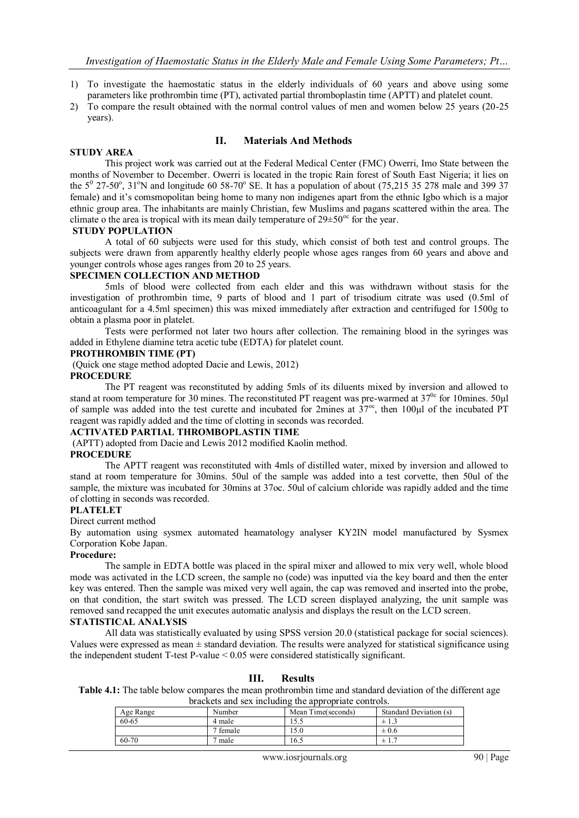- 1) To investigate the haemostatic status in the elderly individuals of 60 years and above using some parameters like prothrombin time (PT), activated partial thromboplastin time (APTT) and platelet count.
- 2) To compare the result obtained with the normal control values of men and women below 25 years (20-25 years).

## **II. Materials And Methods**

## **STUDY AREA**

This project work was carried out at the Federal Medical Center (FMC) Owerri, Imo State between the months of November to December. Owerri is located in the tropic Rain forest of South East Nigeria; it lies on the  $5^{\circ}$  27-50°, 31°N and longitude 60 58-70° SE. It has a population of about (75,215 35 278 male and 399 37 female) and it's comsmopolitan being home to many non indigenes apart from the ethnic Igbo which is a major ethnic group area. The inhabitants are mainly Christian, few Muslims and pagans scattered within the area. The climate o the area is tropical with its mean daily temperature of  $29 \pm 50^{\circ}$  for the year.

## **STUDY POPULATION**

A total of 60 subjects were used for this study, which consist of both test and control groups. The subjects were drawn from apparently healthy elderly people whose ages ranges from 60 years and above and younger controls whose ages ranges from 20 to 25 years.

#### **SPECIMEN COLLECTION AND METHOD**

5mls of blood were collected from each elder and this was withdrawn without stasis for the investigation of prothrombin time, 9 parts of blood and 1 part of trisodium citrate was used (0.5ml of anticoagulant for a 4.5ml specimen) this was mixed immediately after extraction and centrifuged for 1500g to obtain a plasma poor in platelet.

Tests were performed not later two hours after collection. The remaining blood in the syringes was added in Ethylene diamine tetra acetic tube (EDTA) for platelet count.

## **PROTHROMBIN TIME (PT)**

(Quick one stage method adopted Dacie and Lewis, 2012)

## **PROCEDURE**

The PT reagent was reconstituted by adding 5mls of its diluents mixed by inversion and allowed to stand at room temperature for 30 mines. The reconstituted PT reagent was pre-warmed at 37<sup>0c</sup> for 10mines. 50µl of sample was added into the test curette and incubated for 2mines at  $37^{\circ\circ}$ , then 100 $\mu$ l of the incubated PT reagent was rapidly added and the time of clotting in seconds was recorded.

## **ACTIVATED PARTIAL THROMBOPLASTIN TIME**

(APTT) adopted from Dacie and Lewis 2012 modified Kaolin method.

#### **PROCEDURE**

The APTT reagent was reconstituted with 4mls of distilled water, mixed by inversion and allowed to stand at room temperature for 30mins. 50ul of the sample was added into a test corvette, then 50ul of the sample, the mixture was incubated for 30mins at 37oc. 50ul of calcium chloride was rapidly added and the time of clotting in seconds was recorded.

## **PLATELET**

#### Direct current method

By automation using sysmex automated heamatology analyser KY2IN model manufactured by Sysmex Corporation Kobe Japan.

#### **Procedure:**

The sample in EDTA bottle was placed in the spiral mixer and allowed to mix very well, whole blood mode was activated in the LCD screen, the sample no (code) was inputted via the key board and then the enter key was entered. Then the sample was mixed very well again, the cap was removed and inserted into the probe, on that condition, the start switch was pressed. The LCD screen displayed analyzing, the unit sample was removed sand recapped the unit executes automatic analysis and displays the result on the LCD screen.

## **STATISTICAL ANALYSIS**

All data was statistically evaluated by using SPSS version 20.0 (statistical package for social sciences). Values were expressed as mean  $\pm$  standard deviation. The results were analyzed for statistical significance using the independent student T-test P-value < 0.05 were considered statistically significant.

| brackets and sex including the appropriate controls. |          |                    |                        |  |
|------------------------------------------------------|----------|--------------------|------------------------|--|
| Age Range                                            | Number   | Mean Time(seconds) | Standard Deviation (s) |  |
| 60-65                                                | 4 male   | 5.5،               | $\pm$ 1.3              |  |
|                                                      | 7 female | 15.0               | $\pm 0.6$              |  |
| 60-70                                                | 7 male   | 16.5               | ± 1.7                  |  |

#### **III. Results Table 4.1:** The table below compares the mean prothrombin time and standard deviation of the different age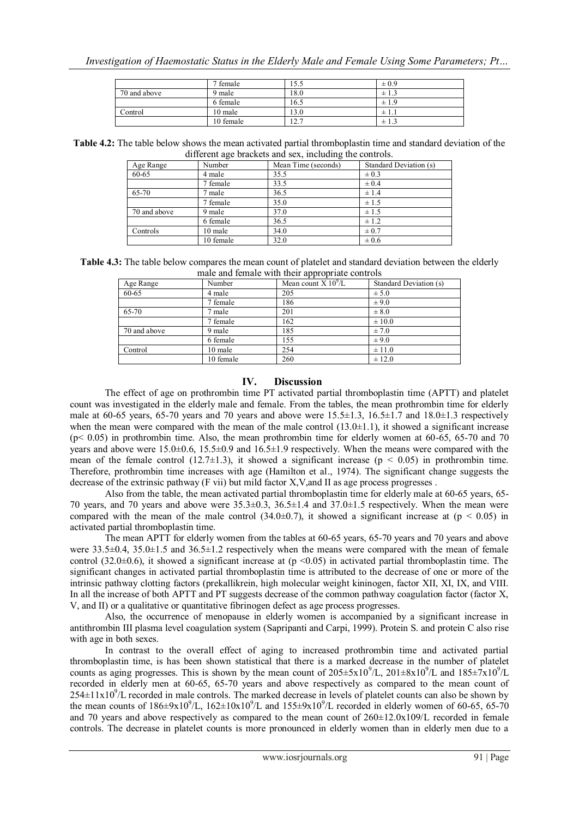|              | 7 female  | 15.5                   | $\pm 0.9$ |
|--------------|-----------|------------------------|-----------|
| 70 and above | 9 male    | 18.0                   | $\pm$ 1.3 |
|              | 6 female  | 16.5                   | $\pm 1.9$ |
| Control      | 10 male   | 13.0                   | $\pm 1.1$ |
|              | 10 female | 12.1<br>$\overline{ }$ | ± 1.3     |

**Table 4.2:** The table below shows the mean activated partial thromboplastin time and standard deviation of the different age brackets and sex, including the controls.

| Age Range    | Number    | Mean Time (seconds) | Standard Deviation (s) |
|--------------|-----------|---------------------|------------------------|
| 60-65        | 4 male    | 35.5                | $\pm 0.3$              |
|              | 7 female  | 33.5                | $\pm 0.4$              |
| 65-70        | 7 male    | 36.5                | ±1.4                   |
|              | 7 female  | 35.0                | ± 1.5                  |
| 70 and above | 9 male    | 37.0                | ± 1.5                  |
|              | 6 female  | 36.5                | $\pm$ 1.2              |
| Controls     | 10 male   | 34.0                | $\pm 0.7$              |
|              | 10 female | 32.0                | $\pm 0.6$              |

| <b>Table 4.3:</b> The table below compares the mean count of platelet and standard deviation between the elderly |  |
|------------------------------------------------------------------------------------------------------------------|--|
| male and female with their appropriate controls                                                                  |  |

| Age Range    | Number    | Mean count $X 10^9/L$ | Standard Deviation (s) |
|--------------|-----------|-----------------------|------------------------|
| 60-65        | 4 male    | 205                   | ± 5.0                  |
|              | 7 female  | 186                   | $\pm$ 9.0              |
| 65-70        | 7 male    | 201                   | $\pm 8.0$              |
|              | 7 female  | 162                   | $\pm 10.0$             |
| 70 and above | 9 male    | 185                   | ± 7.0                  |
|              | 6 female  | 155                   | $\pm$ 9.0              |
| Control      | 10 male   | 254                   | $\pm$ 11.0             |
|              | 10 female | 260                   | ± 12.0                 |

## **IV. Discussion**

The effect of age on prothrombin time PT activated partial thromboplastin time (APTT) and platelet count was investigated in the elderly male and female. From the tables, the mean prothrombin time for elderly male at 60-65 years, 65-70 years and 70 years and above were  $15.5\pm1.3$ ,  $16.5\pm1.7$  and  $18.0\pm1.3$  respectively when the mean were compared with the mean of the male control  $(13.0\pm1.1)$ , it showed a significant increase  $(p< 0.05)$  in prothrombin time. Also, the mean prothrombin time for elderly women at 60-65, 65-70 and 70 years and above were 15.0±0.6, 15.5±0.9 and 16.5±1.9 respectively. When the means were compared with the mean of the female control (12.7 $\pm$ 1.3), it showed a significant increase ( $p < 0.05$ ) in prothrombin time. Therefore, prothrombin time increases with age (Hamilton et al., 1974). The significant change suggests the decrease of the extrinsic pathway (F vii) but mild factor X,V,and II as age process progresses .

Also from the table, the mean activated partial thromboplastin time for elderly male at 60-65 years, 65- 70 years, and 70 years and above were 35.3±0.3, 36.5±1.4 and 37.0±1.5 respectively. When the mean were compared with the mean of the male control  $(34.0\pm0.7)$ , it showed a significant increase at (p < 0.05) in activated partial thromboplastin time.

The mean APTT for elderly women from the tables at 60-65 years, 65-70 years and 70 years and above were 33.5±0.4, 35.0±1.5 and 36.5±1.2 respectively when the means were compared with the mean of female control (32.0 $\pm$ 0.6), it showed a significant increase at (p <0.05) in activated partial thromboplastin time. The significant changes in activated partial thromboplastin time is attributed to the decrease of one or more of the intrinsic pathway clotting factors (prekallikrein, high molecular weight kininogen, factor XII, XI, IX, and VIII. In all the increase of both APTT and PT suggests decrease of the common pathway coagulation factor (factor X, V, and II) or a qualitative or quantitative fibrinogen defect as age process progresses.

Also, the occurrence of menopause in elderly women is accompanied by a significant increase in antithrombin III plasma level coagulation system (Sapripanti and Carpi, 1999). Protein S. and protein C also rise with age in both sexes.

In contrast to the overall effect of aging to increased prothrombin time and activated partial thromboplastin time, is has been shown statistical that there is a marked decrease in the number of platelet counts as aging progresses. This is shown by the mean count of  $205 \pm 5 \times 10^9$ /L,  $201 \pm 8 \times 10^9$ /L and  $185 \pm 7 \times 10^9$ /L recorded in elderly men at 60-65, 65-70 years and above respectively as compared to the mean count of  $254\pm11x10^9$ /L recorded in male controls. The marked decrease in levels of platelet counts can also be shown by the mean counts of  $186\pm9x10^9$ /L,  $162\pm10x10^9$ /L and  $155\pm9x10^9$ /L recorded in elderly women of 60-65, 65-70 and 70 years and above respectively as compared to the mean count of  $260\pm12.0x109/L$  recorded in female controls. The decrease in platelet counts is more pronounced in elderly women than in elderly men due to a